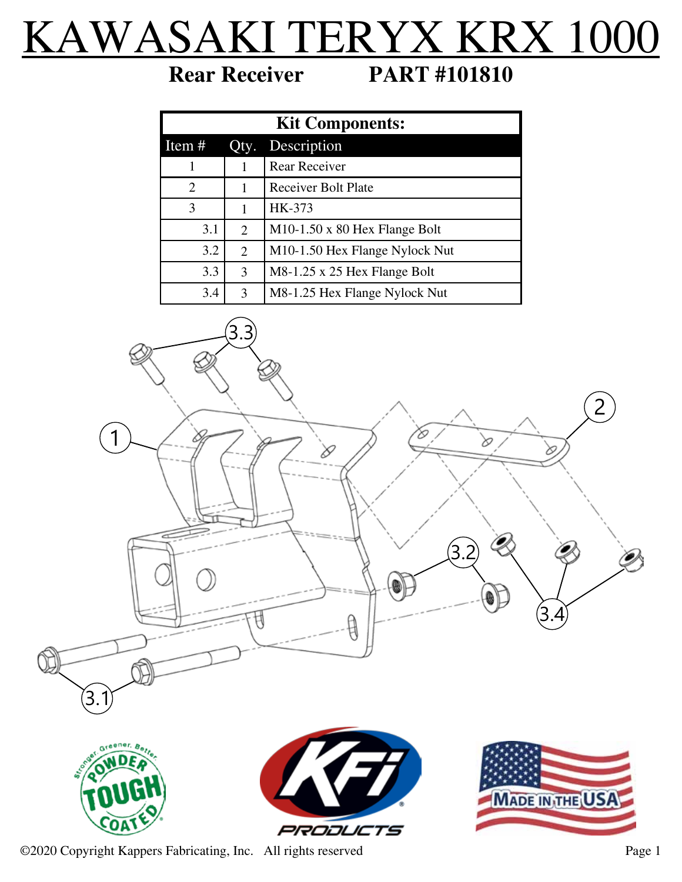## KAWASAKI TERYX KRX 1000

**Rear Receiver PART #101810**

| <b>Kit Components:</b>      |      |                                             |
|-----------------------------|------|---------------------------------------------|
| Item #                      | Qty. | Description                                 |
|                             |      | Rear Receiver                               |
| $\mathcal{D}_{\mathcal{L}}$ |      | <b>Receiver Bolt Plate</b>                  |
| 3                           |      | HK-373                                      |
| 3.1                         | 2    | $M10-1.50 \times 80$ Hex Flange Bolt        |
| 3.2                         | 2    | M <sub>10</sub> -1.50 Hex Flange Nylock Nut |
| 3.3                         | 3    | M8-1.25 x 25 Hex Flange Bolt                |
| 3.4                         | 3    | M8-1.25 Hex Flange Nylock Nut               |









©2020 Copyright Kappers Fabricating, Inc. All rights reserved Page 1